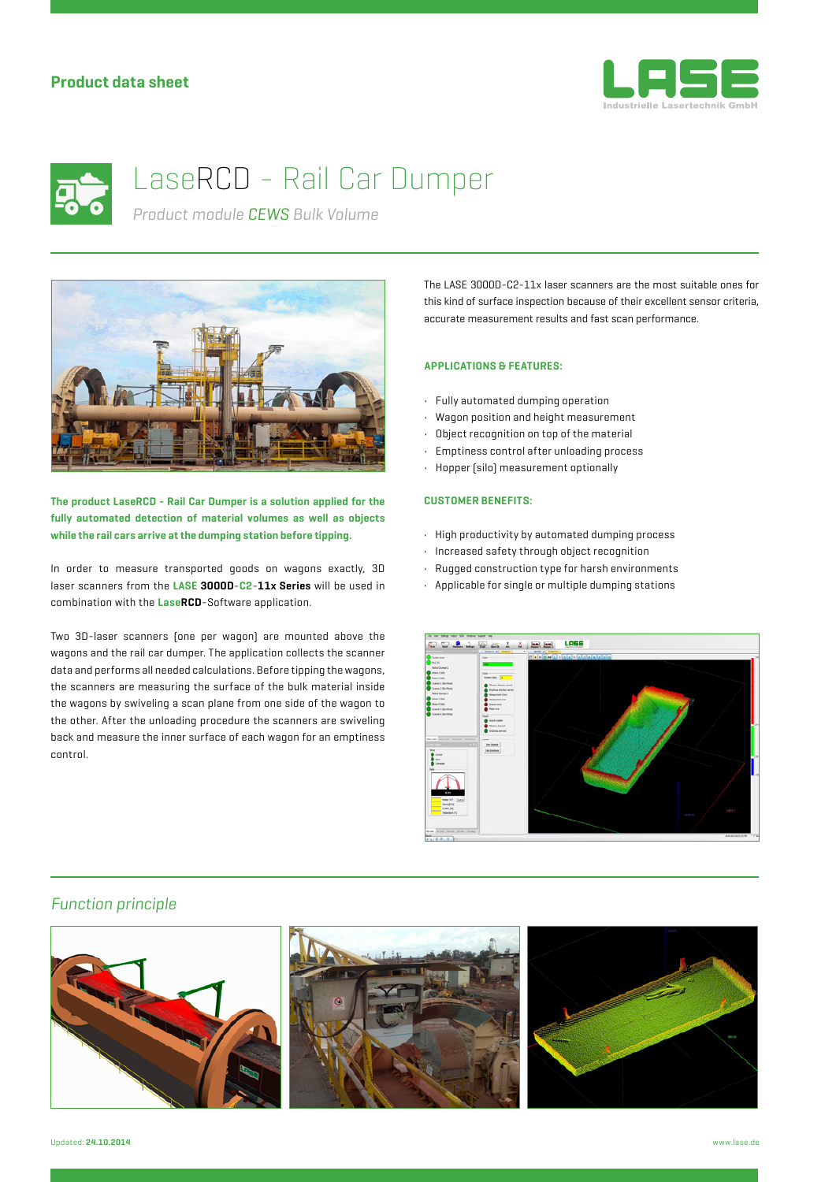### **Product data sheet**





# LaseRCD - Rail Car Dumper

*Product module CEWS Bulk Volume*



**The product LaseRCD - Rail Car Dumper is a solution applied for the fully automated detection of material volumes as well as objects while the rail cars arrive at the dumping station before tipping.**

In order to measure transported goods on wagons exactly, 3D laser scanners from the **LASE 3000D-C2-11x Series** will be used in combination with the **LaseRCD**-Software application.

Two 3D-laser scanners (one per wagon) are mounted above the wagons and the rail car dumper. The application collects the scanner data and performs all needed calculations. Before tipping the wagons, the scanners are measuring the surface of the bulk material inside the wagons by swiveling a scan plane from one side of the wagon to the other. After the unloading procedure the scanners are swiveling back and measure the inner surface of each wagon for an emptiness control.

The LASE 3000D-C2-11x laser scanners are the most suitable ones for this kind of surface inspection because of their excellent sensor criteria, accurate measurement results and fast scan performance.

#### **APPLICATIONS & FEATURES:**

- Fully automated dumping operation
- Wagon position and height measurement
- Object recognition on top of the material
- Emptiness control after unloading process
- Hopper (silo) measurement optionally

#### **CUSTOMER BENEFITS:**

- High productivity by automated dumping process
- Increased safety through object recognition
- Rugged construction type for harsh environments
- Applicable for single or multiple dumping stations



#### *Function principle*